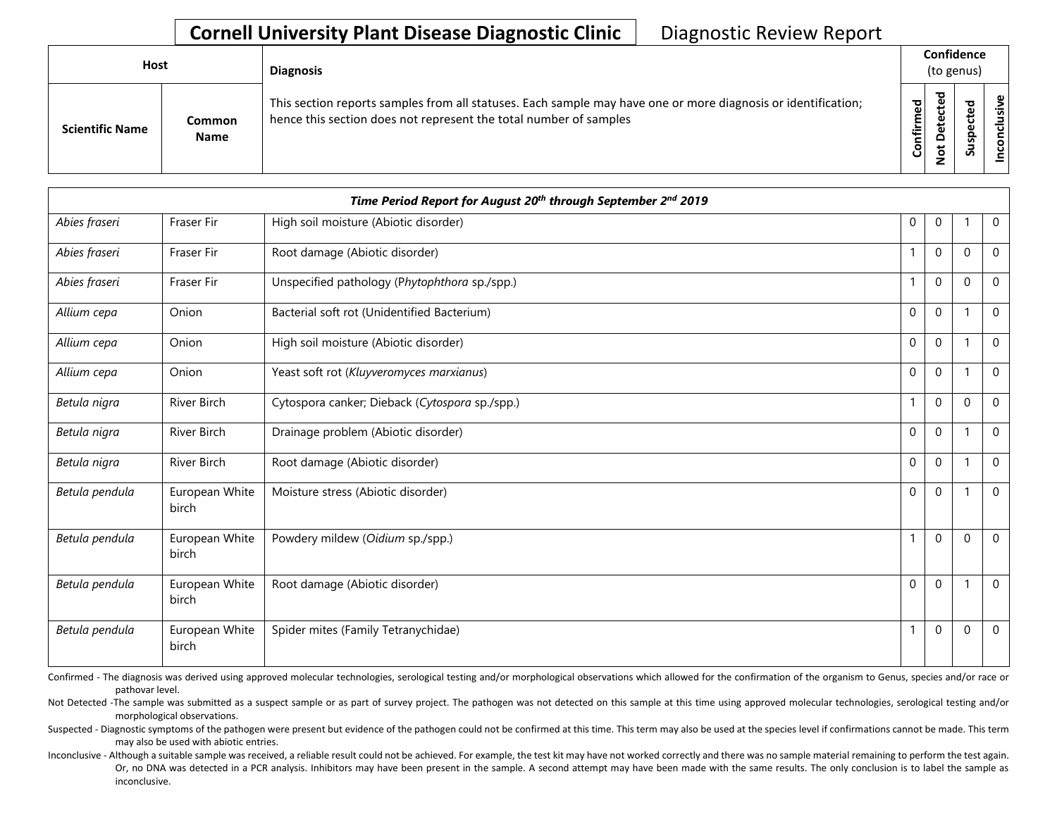| <b>Host</b>            |                       | <b>Diagnosis</b>                                                                                                                                                                   |           | Confidence<br>(to genus) |             |                           |  |  |  |
|------------------------|-----------------------|------------------------------------------------------------------------------------------------------------------------------------------------------------------------------------|-----------|--------------------------|-------------|---------------------------|--|--|--|
| <b>Scientific Name</b> | Common<br><b>Name</b> | This section reports samples from all statuses. Each sample may have one or more diagnosis or identification;<br>hence this section does not represent the total number of samples | Confirmed | ಕ<br>Φ<br>ω              | ௨<br>s<br>S | ω<br>چ.<br>᠊ᠣ<br><u>ဒ</u> |  |  |  |

|                | Time Period Report for August 20 <sup>th</sup> through September 2 <sup>nd</sup> 2019 |                                                |              |              |              |                |  |  |  |  |  |
|----------------|---------------------------------------------------------------------------------------|------------------------------------------------|--------------|--------------|--------------|----------------|--|--|--|--|--|
| Abies fraseri  | Fraser Fir                                                                            | High soil moisture (Abiotic disorder)          | $\mathbf 0$  | $\mathbf 0$  |              | $\mathbf 0$    |  |  |  |  |  |
| Abies fraseri  | Fraser Fir                                                                            | Root damage (Abiotic disorder)                 | $\mathbf{1}$ | $\mathbf 0$  | $\Omega$     | $\mathbf 0$    |  |  |  |  |  |
| Abies fraseri  | Fraser Fir                                                                            | Unspecified pathology (Phytophthora sp./spp.)  | $\mathbf{1}$ | $\mathbf 0$  | $\Omega$     | $\Omega$       |  |  |  |  |  |
| Allium cepa    | Onion                                                                                 | Bacterial soft rot (Unidentified Bacterium)    | $\mathbf 0$  | $\mathbf 0$  |              | $\mathbf 0$    |  |  |  |  |  |
| Allium cepa    | Onion                                                                                 | High soil moisture (Abiotic disorder)          | $\mathbf{0}$ | $\mathbf 0$  |              | $\overline{0}$ |  |  |  |  |  |
| Allium cepa    | Onion                                                                                 | Yeast soft rot (Kluyveromyces marxianus)       | $\mathbf{0}$ | $\mathbf 0$  | -1           | $\Omega$       |  |  |  |  |  |
| Betula nigra   | River Birch                                                                           | Cytospora canker; Dieback (Cytospora sp./spp.) | $\mathbf{1}$ | $\mathbf{0}$ | $\mathbf{0}$ | $\mathbf 0$    |  |  |  |  |  |
| Betula nigra   | River Birch                                                                           | Drainage problem (Abiotic disorder)            | $\mathbf{0}$ | $\mathbf 0$  |              | $\Omega$       |  |  |  |  |  |
| Betula nigra   | River Birch                                                                           | Root damage (Abiotic disorder)                 | $\mathbf{0}$ | $\mathbf{0}$ | -1           | $\Omega$       |  |  |  |  |  |
| Betula pendula | European White<br>birch                                                               | Moisture stress (Abiotic disorder)             | $\mathbf{0}$ | $\Omega$     | -1           | $\Omega$       |  |  |  |  |  |
| Betula pendula | European White<br>birch                                                               | Powdery mildew (Oidium sp./spp.)               | $\mathbf{1}$ | $\mathbf{0}$ | $\mathbf{0}$ | $\Omega$       |  |  |  |  |  |
| Betula pendula | European White<br>birch                                                               | Root damage (Abiotic disorder)                 | $\mathbf 0$  | $\mathbf 0$  | -1           | $\mathbf 0$    |  |  |  |  |  |
| Betula pendula | European White<br>birch                                                               | Spider mites (Family Tetranychidae)            | $\mathbf{1}$ | $\mathbf 0$  | $\mathbf{0}$ | $\mathbf 0$    |  |  |  |  |  |

Confirmed - The diagnosis was derived using approved molecular technologies, serological testing and/or morphological observations which allowed for the confirmation of the organism to Genus, species and/or race or pathovar level.

Not Detected -The sample was submitted as a suspect sample or as part of survey project. The pathogen was not detected on this sample at this time using approved molecular technologies, serological testing and/or morphological observations.

Suspected - Diagnostic symptoms of the pathogen were present but evidence of the pathogen could not be confirmed at this time. This term may also be used at the species level if confirmations cannot be made. This term may also be used with abiotic entries.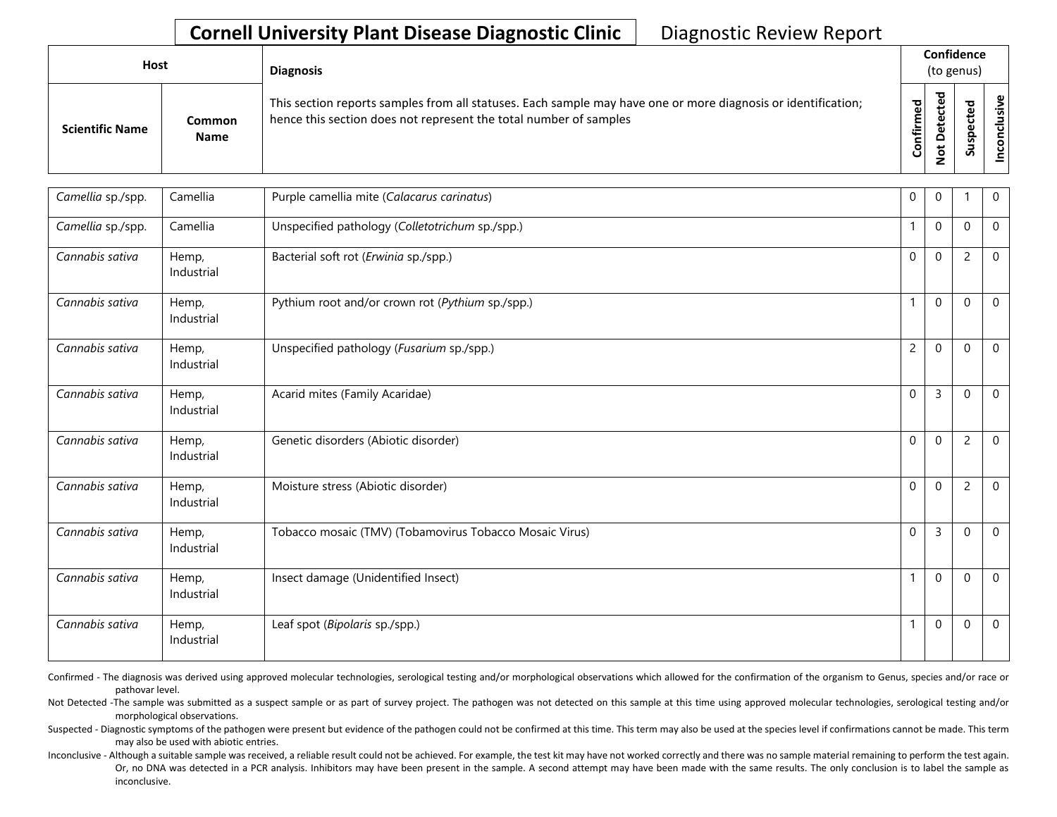| Host |                        |                       | <b>Diagnosis</b>                                                                                                                                                                   |               | Confidence<br>(to genus) |                       |               |
|------|------------------------|-----------------------|------------------------------------------------------------------------------------------------------------------------------------------------------------------------------------|---------------|--------------------------|-----------------------|---------------|
|      | <b>Scientific Name</b> | Common<br><b>Name</b> | This section reports samples from all statuses. Each sample may have one or more diagnosis or identification;<br>hence this section does not represent the total number of samples | ਠ<br>Confirme | ᇃ<br>$\Omega$<br>پ       | ω<br>ω<br>௨<br>š<br>S | يە<br>'ল<br>ပ |

| Camellia sp./spp. | Camellia            | Purple camellia mite (Calacarus carinatus)              | 0              | $\Omega$       |                | $\mathbf 0$  |
|-------------------|---------------------|---------------------------------------------------------|----------------|----------------|----------------|--------------|
| Camellia sp./spp. | Camellia            | Unspecified pathology (Colletotrichum sp./spp.)         | $\mathbf{1}$   | $\mathbf{0}$   | $\mathbf{0}$   | $\mathbf 0$  |
| Cannabis sativa   | Hemp,<br>Industrial | Bacterial soft rot (Erwinia sp./spp.)                   | $\Omega$       | $\mathbf{0}$   | $\overline{c}$ | $\mathbf{0}$ |
| Cannabis sativa   | Hemp,<br>Industrial | Pythium root and/or crown rot (Pythium sp./spp.)        | $\mathbf{1}$   | $\mathbf{0}$   | $\Omega$       | $\Omega$     |
| Cannabis sativa   | Hemp,<br>Industrial | Unspecified pathology (Fusarium sp./spp.)               | $\overline{2}$ | $\mathbf{0}$   | $\Omega$       | $\mathbf{0}$ |
| Cannabis sativa   | Hemp,<br>Industrial | Acarid mites (Family Acaridae)                          | $\mathbf{0}$   | 3              | $\Omega$       | $\mathbf{0}$ |
| Cannabis sativa   | Hemp,<br>Industrial | Genetic disorders (Abiotic disorder)                    | $\Omega$       | $\mathbf{0}$   | $\overline{2}$ | $\mathbf{0}$ |
| Cannabis sativa   | Hemp,<br>Industrial | Moisture stress (Abiotic disorder)                      | $\mathbf 0$    | $\mathbf{0}$   | $\overline{c}$ | $\mathbf 0$  |
| Cannabis sativa   | Hemp,<br>Industrial | Tobacco mosaic (TMV) (Tobamovirus Tobacco Mosaic Virus) | 0              | $\overline{3}$ | $\mathbf{0}$   | $\mathbf{0}$ |
| Cannabis sativa   | Hemp,<br>Industrial | Insect damage (Unidentified Insect)                     | $\mathbf{1}$   | $\mathbf{0}$   | $\Omega$       | $\Omega$     |
| Cannabis sativa   | Hemp,<br>Industrial | Leaf spot (Bipolaris sp./spp.)                          | $\mathbf{1}$   | $\mathbf{0}$   | $\Omega$       | $\Omega$     |

Confirmed - The diagnosis was derived using approved molecular technologies, serological testing and/or morphological observations which allowed for the confirmation of the organism to Genus, species and/or race or pathovar level.

Not Detected -The sample was submitted as a suspect sample or as part of survey project. The pathogen was not detected on this sample at this time using approved molecular technologies, serological testing and/or morphological observations.

Suspected - Diagnostic symptoms of the pathogen were present but evidence of the pathogen could not be confirmed at this time. This term may also be used at the species level if confirmations cannot be made. This term may also be used with abiotic entries.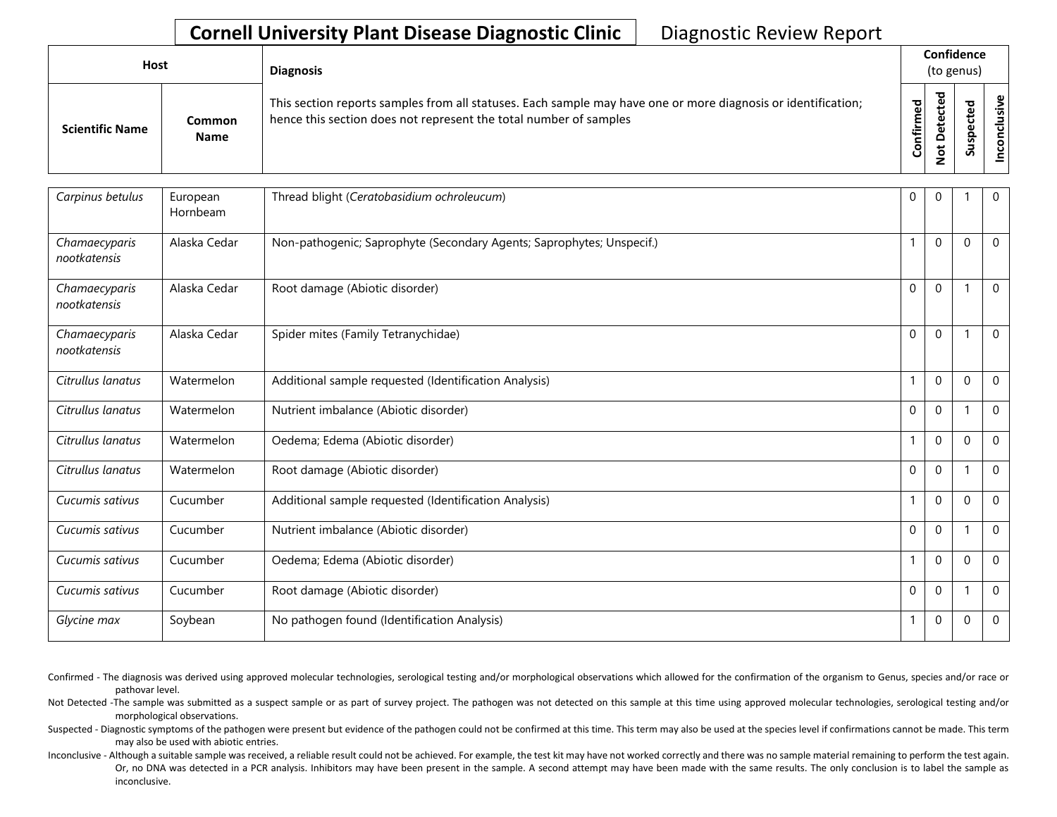| <b>Host</b>            |                       | <b>Diagnosis</b>                                                                                                                                                                   |               | Confidence<br>(to genus) |                            |                |  |  |  |
|------------------------|-----------------------|------------------------------------------------------------------------------------------------------------------------------------------------------------------------------------|---------------|--------------------------|----------------------------|----------------|--|--|--|
| <b>Scientific Name</b> | Common<br><b>Name</b> | This section reports samples from all statuses. Each sample may have one or more diagnosis or identification;<br>hence this section does not represent the total number of samples | ਠ<br>Confirme | ᇃ<br>$\Omega$<br>پ<br>۰  | ω<br>ω<br>௨<br>s<br>∍<br>S | φ<br><u>:ត</u> |  |  |  |

| Carpinus betulus              | European<br>Hornbeam | Thread blight (Ceratobasidium ochroleucum)                            | 0           | $\mathbf 0$  |          | $\mathbf 0$ |
|-------------------------------|----------------------|-----------------------------------------------------------------------|-------------|--------------|----------|-------------|
| Chamaecyparis<br>nootkatensis | Alaska Cedar         | Non-pathogenic; Saprophyte (Secondary Agents; Saprophytes; Unspecif.) |             | $\mathbf 0$  | $\Omega$ | $\mathbf 0$ |
| Chamaecyparis<br>nootkatensis | Alaska Cedar         | Root damage (Abiotic disorder)                                        | $\Omega$    | $\Omega$     |          | $\mathbf 0$ |
| Chamaecyparis<br>nootkatensis | Alaska Cedar         | Spider mites (Family Tetranychidae)                                   | $\Omega$    | $\mathbf{0}$ |          | $\Omega$    |
| Citrullus lanatus             | Watermelon           | Additional sample requested (Identification Analysis)                 |             | $\mathbf 0$  | $\Omega$ | $\mathbf 0$ |
| Citrullus lanatus             | Watermelon           | Nutrient imbalance (Abiotic disorder)                                 | $\mathbf 0$ | $\mathbf 0$  |          | $\mathbf 0$ |
| Citrullus lanatus             | Watermelon           | Oedema; Edema (Abiotic disorder)                                      |             | $\Omega$     | $\Omega$ | $\mathbf 0$ |
| Citrullus lanatus             | Watermelon           | Root damage (Abiotic disorder)                                        | $\mathbf 0$ | $\mathbf 0$  |          | $\mathbf 0$ |
| Cucumis sativus               | Cucumber             | Additional sample requested (Identification Analysis)                 |             | $\mathbf 0$  | $\Omega$ | $\mathbf 0$ |
| Cucumis sativus               | Cucumber             | Nutrient imbalance (Abiotic disorder)                                 | $\mathbf 0$ | $\mathbf 0$  |          | $\mathbf 0$ |
| Cucumis sativus               | Cucumber             | Oedema; Edema (Abiotic disorder)                                      | 1           | $\mathbf 0$  | $\Omega$ | $\mathbf 0$ |
| Cucumis sativus               | Cucumber             | Root damage (Abiotic disorder)                                        | $\mathbf 0$ | $\Omega$     |          | $\Omega$    |
| Glycine max                   | Soybean              | No pathogen found (Identification Analysis)                           | 1           | $\mathbf 0$  | $\Omega$ | $\mathbf 0$ |

Confirmed - The diagnosis was derived using approved molecular technologies, serological testing and/or morphological observations which allowed for the confirmation of the organism to Genus, species and/or race or pathovar level.

Not Detected -The sample was submitted as a suspect sample or as part of survey project. The pathogen was not detected on this sample at this time using approved molecular technologies, serological testing and/or morphological observations.

Suspected - Diagnostic symptoms of the pathogen were present but evidence of the pathogen could not be confirmed at this time. This term may also be used at the species level if confirmations cannot be made. This term may also be used with abiotic entries.

Or, no DNA was detected in a PCR analysis. Inhibitors may have been present in the sample. A second attempt may have been made with the same results. The only conclusion is to label the sample as Inconclusive - Although a suitable sample was received, a reliable result could not be achieved. For example, the test kit may have not worked correctly and there was no sample material remaining to perform the test again. inconclusive.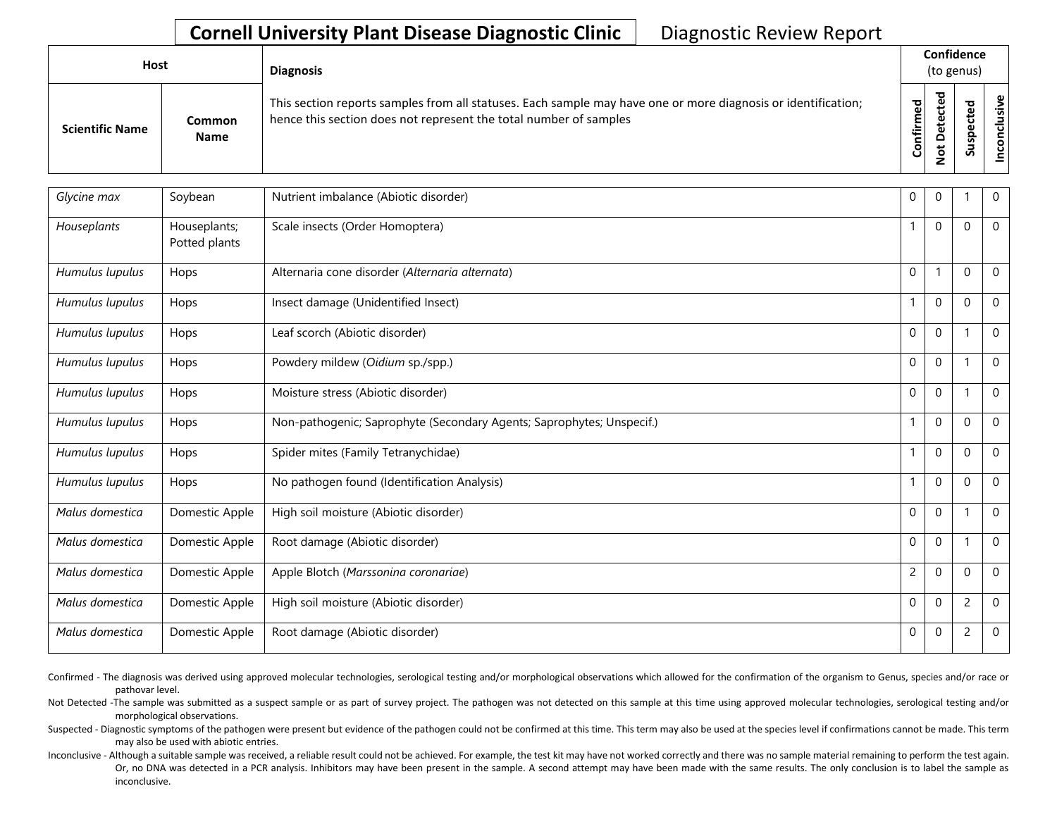| <b>Host</b>            |                       | <b>Diagnosis</b>                                                                                                                                                                   |           |                               | Confidence<br>(to genus) |              |
|------------------------|-----------------------|------------------------------------------------------------------------------------------------------------------------------------------------------------------------------------|-----------|-------------------------------|--------------------------|--------------|
| <b>Scientific Name</b> | Common<br><b>Name</b> | This section reports samples from all statuses. Each sample may have one or more diagnosis or identification;<br>hence this section does not represent the total number of samples | Confirmed | ᇃ<br>Φ<br>$\Omega$<br>سد<br>- | S                        | ω<br>šΣ<br>ᅙ |

| Glycine max     | Soybean                       | Nutrient imbalance (Abiotic disorder)                                 | 0              | 0                |                | 0            |
|-----------------|-------------------------------|-----------------------------------------------------------------------|----------------|------------------|----------------|--------------|
| Houseplants     | Houseplants;<br>Potted plants | Scale insects (Order Homoptera)                                       |                | $\mathbf 0$      | 0              | $\mathbf 0$  |
| Humulus lupulus | Hops                          | Alternaria cone disorder (Alternaria alternata)                       | $\mathbf 0$    |                  | $\mathbf 0$    | $\mathbf 0$  |
| Humulus lupulus | Hops                          | Insect damage (Unidentified Insect)                                   |                | $\mathbf 0$      | $\mathbf{0}$   | $\mathbf{0}$ |
| Humulus lupulus | Hops                          | Leaf scorch (Abiotic disorder)                                        | $\mathbf 0$    | $\mathbf 0$      |                | $\mathbf 0$  |
| Humulus lupulus | Hops                          | Powdery mildew (Oidium sp./spp.)                                      | $\mathbf 0$    | $\mathbf 0$      |                | $\mathbf 0$  |
| Humulus lupulus | Hops                          | Moisture stress (Abiotic disorder)                                    | $\mathbf 0$    | $\mathbf 0$      |                | $\Omega$     |
| Humulus lupulus | Hops                          | Non-pathogenic; Saprophyte (Secondary Agents; Saprophytes; Unspecif.) |                | $\boldsymbol{0}$ | 0              | 0            |
| Humulus lupulus | Hops                          | Spider mites (Family Tetranychidae)                                   | 1              | $\boldsymbol{0}$ | $\mathbf{0}$   | $\mathbf{0}$ |
| Humulus lupulus | Hops                          | No pathogen found (Identification Analysis)                           | $\overline{1}$ | $\boldsymbol{0}$ | $\Omega$       | $\mathbf 0$  |
| Malus domestica | Domestic Apple                | High soil moisture (Abiotic disorder)                                 | $\Omega$       | $\mathbf 0$      |                | $\mathbf 0$  |
| Malus domestica | Domestic Apple                | Root damage (Abiotic disorder)                                        | $\mathbf 0$    | $\mathbf 0$      | 1              | $\mathbf{0}$ |
| Malus domestica | Domestic Apple                | Apple Blotch (Marssonina coronariae)                                  | $\overline{c}$ | $\boldsymbol{0}$ | $\mathbf{0}$   | $\mathbf 0$  |
| Malus domestica | Domestic Apple                | High soil moisture (Abiotic disorder)                                 | 0              | $\mathbf 0$      | $\overline{c}$ | $\mathbf 0$  |
| Malus domestica | Domestic Apple                | Root damage (Abiotic disorder)                                        | $\mathbf 0$    | $\pmb{0}$        | $\overline{c}$ | $\mathbf 0$  |

Confirmed - The diagnosis was derived using approved molecular technologies, serological testing and/or morphological observations which allowed for the confirmation of the organism to Genus, species and/or race or pathovar level.

Not Detected -The sample was submitted as a suspect sample or as part of survey project. The pathogen was not detected on this sample at this time using approved molecular technologies, serological testing and/or morphological observations.

Suspected - Diagnostic symptoms of the pathogen were present but evidence of the pathogen could not be confirmed at this time. This term may also be used at the species level if confirmations cannot be made. This term may also be used with abiotic entries.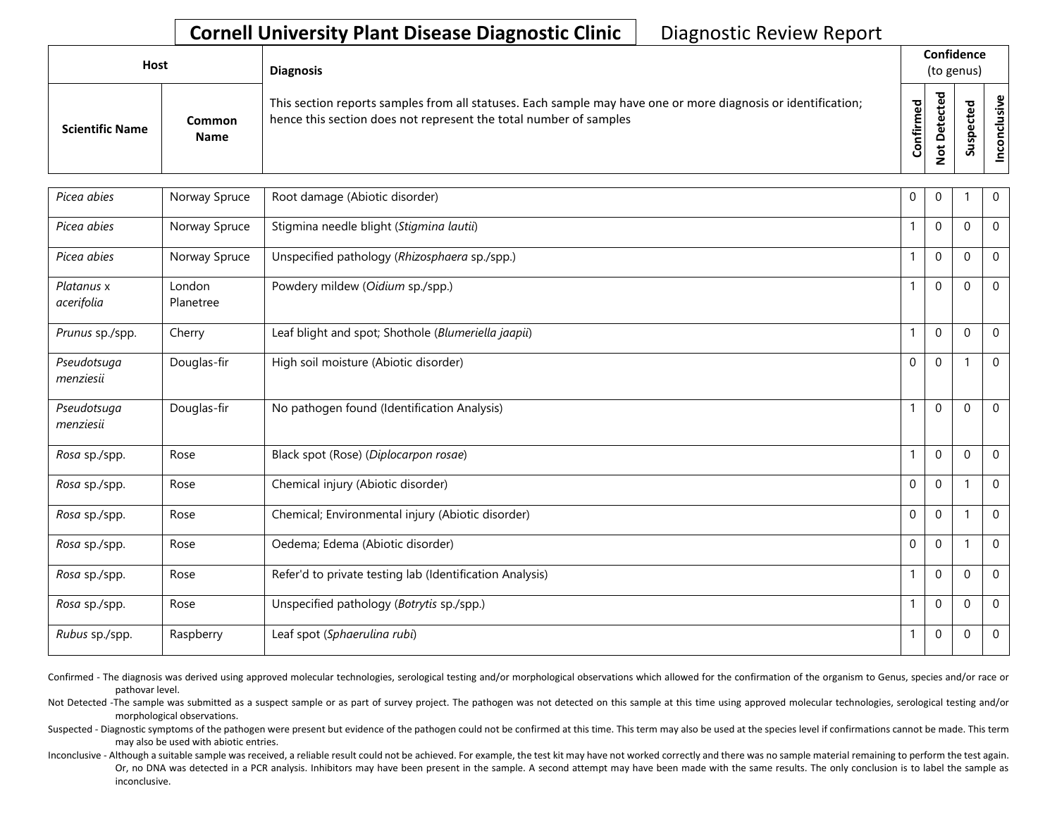| Host                   |                       | <b>Diagnosis</b>                                                                                                                                                                   |             | Confidence<br>(to genus) |                   |  |  |  |  |
|------------------------|-----------------------|------------------------------------------------------------------------------------------------------------------------------------------------------------------------------------|-------------|--------------------------|-------------------|--|--|--|--|
| <b>Scientific Name</b> | Common<br><b>Name</b> | This section reports samples from all statuses. Each sample may have one or more diagnosis or identification;<br>hence this section does not represent the total number of samples | ত<br>⇐<br>ပ | ъ                        | n<br>$\mathbf{v}$ |  |  |  |  |

| Picea abies              | Norway Spruce       | Root damage (Abiotic disorder)                           | 0            | $\mathbf{0}$ |             | $\mathbf{0}$ |
|--------------------------|---------------------|----------------------------------------------------------|--------------|--------------|-------------|--------------|
| Picea abies              | Norway Spruce       | Stigmina needle blight (Stigmina lautii)                 | $\mathbf{1}$ | $\mathbf{0}$ | $\Omega$    | $\mathbf{0}$ |
| Picea abies              | Norway Spruce       | Unspecified pathology (Rhizosphaera sp./spp.)            | $\mathbf{1}$ | $\mathbf{0}$ | $\Omega$    | $\mathbf{0}$ |
| Platanus x<br>acerifolia | London<br>Planetree | Powdery mildew (Oidium sp./spp.)                         |              | $\mathbf 0$  | $\Omega$    | $\mathbf 0$  |
| Prunus sp./spp.          | Cherry              | Leaf blight and spot; Shothole (Blumeriella jaapii)      | $\mathbf{1}$ | $\mathbf 0$  | $\mathbf 0$ | $\mathbf 0$  |
| Pseudotsuga<br>menziesii | Douglas-fir         | High soil moisture (Abiotic disorder)                    | 0            | $\mathbf{0}$ |             | $\Omega$     |
| Pseudotsuga<br>menziesii | Douglas-fir         | No pathogen found (Identification Analysis)              | $\mathbf{1}$ | $\mathbf{0}$ | $\Omega$    | $\mathbf{0}$ |
| Rosa sp./spp.            | Rose                | Black spot (Rose) (Diplocarpon rosae)                    | $\mathbf{1}$ | $\mathbf{0}$ | $\Omega$    | $\mathbf{0}$ |
| Rosa sp./spp.            | Rose                | Chemical injury (Abiotic disorder)                       | 0            | $\mathbf 0$  |             | $\mathbf 0$  |
| Rosa sp./spp.            | Rose                | Chemical; Environmental injury (Abiotic disorder)        | 0            | $\mathbf 0$  |             | $\mathbf{0}$ |
| Rosa sp./spp.            | Rose                | Oedema; Edema (Abiotic disorder)                         | $\Omega$     | $\mathbf{0}$ |             | $\Omega$     |
| Rosa sp./spp.            | Rose                | Refer'd to private testing lab (Identification Analysis) | $\mathbf{1}$ | $\mathbf{0}$ | $\Omega$    | $\mathbf{0}$ |
| Rosa sp./spp.            | Rose                | Unspecified pathology (Botrytis sp./spp.)                | 1            | $\mathbf{0}$ | $\Omega$    | $\mathbf{0}$ |
| Rubus sp./spp.           | Raspberry           | Leaf spot (Sphaerulina rubi)                             | $\mathbf{1}$ | $\mathbf 0$  | $\mathbf 0$ | $\mathbf 0$  |

Confirmed - The diagnosis was derived using approved molecular technologies, serological testing and/or morphological observations which allowed for the confirmation of the organism to Genus, species and/or race or pathovar level.

Not Detected -The sample was submitted as a suspect sample or as part of survey project. The pathogen was not detected on this sample at this time using approved molecular technologies, serological testing and/or morphological observations.

Suspected - Diagnostic symptoms of the pathogen were present but evidence of the pathogen could not be confirmed at this time. This term may also be used at the species level if confirmations cannot be made. This term may also be used with abiotic entries.